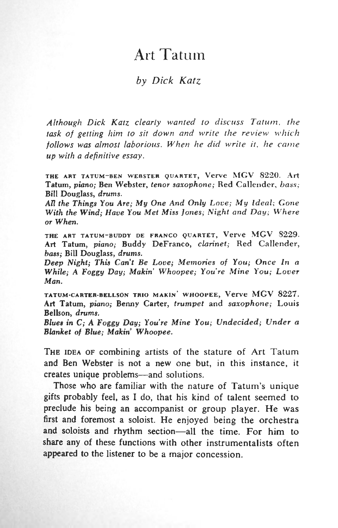# Art Tatum

# *by Dick Katz*

*Although Dick Katz clearly wanted to discuss Tatum, the task of getting him to sit down and write the review which follows was almost laborious. When he did write it. he came up with a definitive essay.*

THE ART TATUM-BEN WEBSTER QUARTET, Verve MGV 8220. Art Tatum, *piano;* Ben Webster, *tenor saxophone;* Red Callender, *bass;* Bill Douglass, *drums.*

*AH the Things You Are; My One And Only Love; My Ideal; Gone With the Wind; Have You Met Miss Jones; Night and Day; Where or When.*

THE ART TATUM-BUDDY DE FRANCO QUARTET, Verve MGV 8229. Art Tatum, *piano;* Buddy DeFranco, *clarinet;* Red Callender, *bass;* Bill Douglass, *drums.*

*Deep Night; This Can't Be Love; Memories of You; Once In a While;* A *Foggy Day; Makin' Whoopee; You're Mine You; Lover Man.*

TATUM-CARTER-BELLSON TRIO MAKIN' WHOOPEE, Verve MGV 8227. Art Tatum, *piano;* Benny Carter, *trumpet* and *saxophone;* Louis Bellson, *drums.*

*Blues in C; A Foggy Day; You're Mine You; Undecided; Under a Blanket of Blue; Makin Whoopee.*

THE IDEA OF combining artists of the stature of Art Tatum and Ben Webster is not a new one but, in this instance, it creates unique problems—and solutions.

Those who are familiar with the nature of Tatum's unique gifts probably feel, as I do, that his kind of talent seemed to preclude his being an accompanist or group player. He was first and foremost a soloist. He enjoyed being the orchestra and soloists and rhythm section—all the time. For him to share any of these functions with other instrumentalists often appeared to the listener to be a major concession.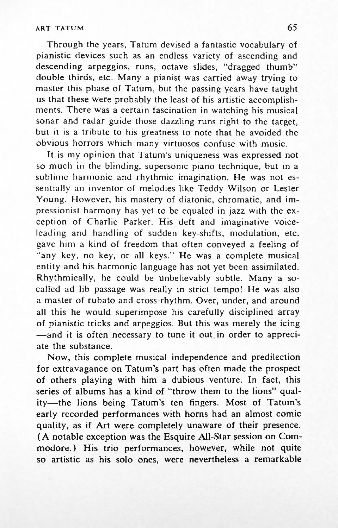## ART TATUM **65**

Through the years, Tatum devised a fantastic vocabulary of pianistic devices such as an endless variety of ascending and descending arpeggios, runs, octave slides, "dragged thumb" double thirds, etc. Many a pianist was carried away trying to master this phase of Tatum, but the passing years have taught us that these were probably the least of his artistic accomplishments. There was a certain fascination in watching his musical sonar and radar guide those dazzling runs right to the target, but it is a tribute to his greatness to note that he avoided the obvious horrors which many virtuosos confuse with music.

It is my opinion that Tatum's uniqueness was expressed not so much in the blinding, supersonic piano technique, but in a sublime harmonic and rhythmic imagination. He was not essentially an inventor of melodies like Teddy Wilson or Lester Young. However, his mastery of diatonic, chromatic, and impressionist harmony has yet to be equaled in jazz with the exception of Charlie Parker. His deft and imaginative voiceleading and handling of sudden key-shifts, modulation, etc. gave him a kind of freedom that often conveyed a feeling of "any key, no key, or all keys." He was a complete musical entity and his harmonic language has not yet been assimilated. Rhythmically, he could be unbelievably subtle. Many a socalled ad lib passage was really in strict tempo! He was also a master of rubato and cross-rhythm. Over, under, and around all this he would superimpose his carefully disciplined array of pianistic tricks and arpeggios. But this was merely the icing —and it is often necessary to tune it out in order to appreciate the substance.

Now, this complete musical independence and predilection for extravagance on Tatum's part has often made the prospect of others playing with him a dubious venture. In fact, this series of albums has a kind of "throw them to the lions" quality—the lions being Tatum's ten fingers. Most of Tatum's early recorded performances with horns had an almost comic quality, as if Art were completely unaware of their presence. (A notable exception was the Esquire All-Star session on Commodore.) His trio performances, however, while not quite so artistic as his solo ones, were nevertheless a remarkable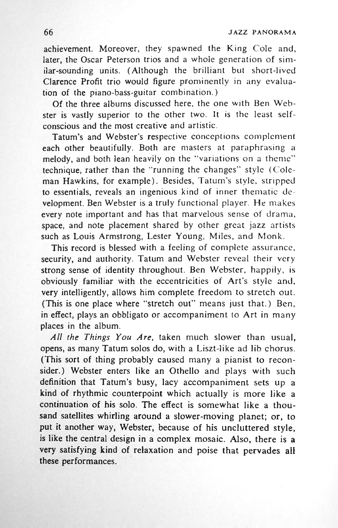achievement. Moreover, they spawned the King Cole and, later, the Oscar Peterson trios and a whole generation of similar-sounding units. (Although the brilliant but short-lived Clarence Profit trio would figure prominently in any evaluation of the piano-bass-guitar combination.)

Of the three albums discussed here, the one with Ben Webster is vastly superior to the other two. It is the least selfconscious and the most creative and artistic.

Tatum's and Webster's respective conceptions complement each other beautifully. Both are masters at paraphrasing a melody, and both lean heavily on the "variations on a theme" technique, rather than the "running the changes" style (Coleman Hawkins, for example). Besides, Tatum's style, stripped to essentials, reveals an ingenious kind of inner thematic development. Ben Webster is a truly functional player. He makes every note important and has that marvelous sense of drama, space, and note placement shared by other great jazz artists such as Louis Armstrong, Lester Young, Miles, and Monk.

This record is blessed with a feeling of complete assurance, security, and authority. Tatum and Webster reveal their very strong sense of identity throughout. Ben Webster, happily, is obviously familiar with the eccentricities of Art's style and, very intelligently, allows him complete freedom to stretch out. (This is one place where "stretch out" means just that.) Ben, in effect, plays an obbligato or accompaniment to Art in many places in the album.

*All the Things You Are,* taken much slower than usual, opens, as many Tatum solos do, with a Liszt-like ad lib chorus. (This sort of thing probably caused many a pianist to reconsider.) Webster enters like an Othello and plays with such definition that Tatum's busy, lacy accompaniment sets up a kind of rhythmic counterpoint which actually is more like a continuation of his solo. The effect is somewhat like a thousand satellites whirling around a slower-moving planet; or, to put it another way, Webster, because of his uncluttered style, is like the central design in a complex mosaic. Also, there is a very satisfying kind of relaxation and poise that pervades all these performances.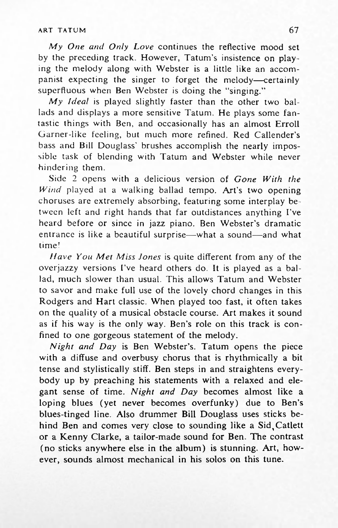#### ART TATUM **67**

*My One and Only Love* continues the reflective mood set by the preceding track. However, Tatum's insistence on playing the melody along with Webster is a little like an accompanist expecting the singer to forget the melody—certainly superfluous when Ben Webster is doing the "singing."

*My Ideal* is played slightly faster than the other two ballads and displays a more sensitive Tatum. He plays some fantastic things with Ben, and occasionally has an almost Erroll Garner-like feeling, but much more refined. Red Callender's bass and Bill Douglass' brushes accomplish the nearly impossible task of blending with Tatum and Webster while never hindering them.

Side 2 opens with a delicious version of *Gone With the Wind* played at a walking ballad tempo. Art's two opening choruses are extremely absorbing, featuring some interplay between left and right hands that far outdistances anything I've heard before or since in jazz piano. Ben Webster's dramatic entrance is like a beautiful surprise—what a sound—and what time!

*Have You Met Miss Jones* is quite different from any of the overjazzy versions I've heard others do. It is played as a ballad, much slower than usual. This allows Tatum and Webster to savor and make full use of the lovely chord changes in this Rodgers and Hart classic. When played too fast, it often takes on the quality of a musical obstacle course. Art makes it sound as if his way is the only way. Ben's role on this track is confined to one gorgeous statement of the melody.

*Night and Day* is Ben Webster's. Tatum opens the piece with a diffuse and overbusy chorus that is rhythmically a bit tense and stylistically stiff. Ben steps in and straightens everybody up by preaching his statements with a relaxed and elegant sense of time. *Night and Day* becomes almost like a loping blues (yet never becomes overfunky) due to Ben's blues-tinged line. Also drummer Bill Douglass uses sticks behind Ben and comes very close to sounding like a Sid,Catlett or a Kenny Clarke, a tailor-made sound for Ben. The contrast (no sticks anywhere else in the album) is stunning. Art, however, sounds almost mechanical in his solos on this tune.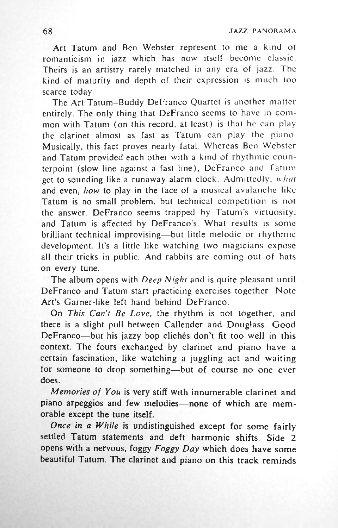Art Tatum and Ben Webster represent to me a kind of romanticism in jazz which has now itself become classic. Theirs is an artistry rarely matched in any era of jazz. The kind of maturity and depth of their expression is much too scarce today.

The Art Tatum-Buddy DeFranco Quartet is another matter entirely. The only thing that DeFranco seems to have in common with Tatum (on this record, at least) is that he can play the clarinet almost as fast as Tatum can play the piano. Musically, this fact proves nearly fatal. Whereas Ben Webster and Tatum provided each other with a kind of rhythmic counterpoint (slow line against a fast line), DeFranco and Tatum get to sounding like a runaway alarm clock. Admittedly, *what* and even, *how* to play in the face of a musical avalanche like Tatum is no small problem, but technical competition is not the answer. DeFranco seems trapped by Tatum's virtuosity, and Tatum is affected by DeFranco's. What results is some brilliant technical improvising—but little melodic or rhythmic development. It's a little like watching two magicians expose all their tricks in public. And rabbits are coming out of hats on every tune.

The album opens with *Deep Night* and is quite pleasant until DeFranco and Tatum start practicing exercises together. Note Art's Garner-like left hand behind DeFranco.

On *This Can't Be Love,* the rhythm is not together, and there is a slight pull between Callender and Douglass. Good DeFranco—but his jazzy bop clichés don't fit too well in this context. The fours exchanged by clarinet and piano have a certain fascination, like watching a juggling act and waiting for someone to drop something—but of course no one ever does.

*Memories of You* is very stiff with innumerable clarinet and piano arpeggios and few melodies—none of which are memorable except the tune itself.

*Once in a While* is undistinguished except for some fairly settled Tatum statements and deft harmonic shifts. Side 2 opens with a nervous, foggy *Foggy Day* which does have some beautiful Tatum. The clarinet and piano on this track reminds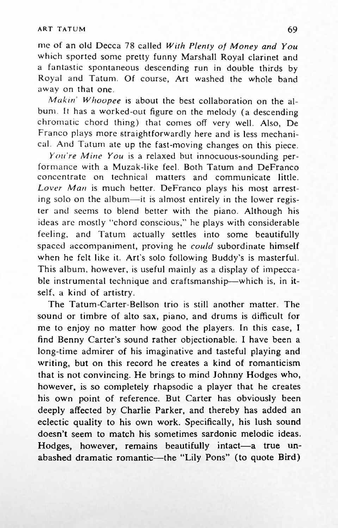### ART TATUM **69**

me of an old Decca 78 called *With Plenty of Money and You* which sported some pretty funny Marshall Royal clarinet and a fantastic spontaneous descending run in double thirds by Royal and Tatum. Of course. Art washed the whole band away on that one.

*Makin Whoopee* is about the best collaboration on the album. It has a worked-out figure on the melody (a descending chromatic chord thing) that comes off very well. Also, De Franco plays more straightforwardly here and is less mechanical. And Tatum ate up the fast-moving changes on this piece.

*You're Mine You* is a relaxed but innocuous-sounding performance with a Muzak-like feel. Both Tatum and DeFranco concentrate on technical matters and communicate little. *Lover Man* is much better. DeFranco plays his most arresting solo on the album—it is almost entirely in the lower register and seems to blend better with the piano. Although his ideas are mostly "chord conscious," he plays with considerable feeling, and Tatum actually settles into some beautifully spaced accompaniment, proving he *could* subordinate himself when he felt like it. Art's solo following Buddy's is masterful. This album, however, is useful mainly as a display of impeccable instrumental technique and craftsmanship—which is, in itself, a kind of artistry.

The Tatum-Carter-Bellson trio is still another matter. The sound or timbre of alto sax, piano, and drums is difficult for me to enjoy no matter how good the players. In this case, I find Benny Carter's sound rather objectionable. I have been a long-time admirer of his imaginative and tasteful playing and writing, but on this record he creates a kind of romanticism that is not convincing. He brings to mind Johnny Hodges who, however, is so completely rhapsodic a player that he creates his own point of reference. But Carter has obviously been deeply affected by Charlie Parker, and thereby has added an eclectic quality to his own work. Specifically, his lush sound doesn't seem to match his sometimes sardonic melodic ideas. Hodges, however, remains beautifully intact—a true unabashed dramatic romantic—the "Lily Pons" (to quote Bird)